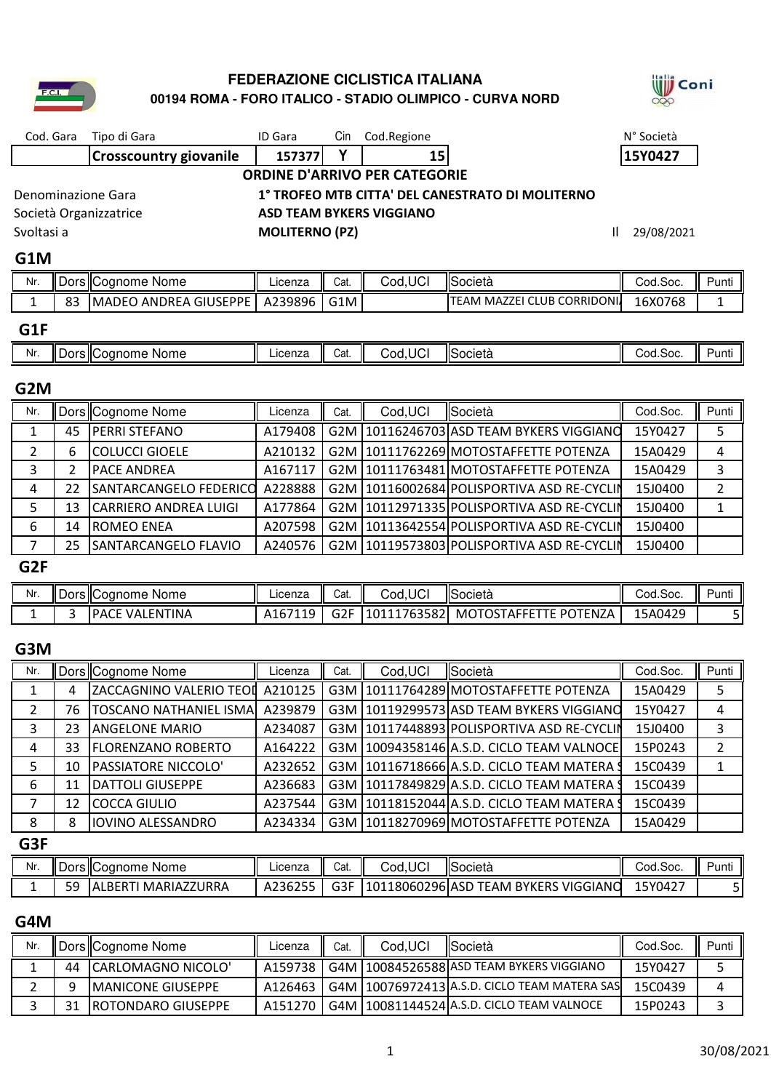### **00194 ROMA - FORO ITALICO - STADIO OLIMPICO - CURVA NORD FEDERAZIONE CICLISTICA ITALIANA**



### **G1M** 1

| Nr. |    | Dors Cognome Nome     | Licenza | Cat. | Cod, UCI | <b>ISocietà</b>            | Cod.Soc. | Punti |
|-----|----|-----------------------|---------|------|----------|----------------------------|----------|-------|
| -   | 83 | MADEO ANDREA GIUSEPPE | A239896 | G1M  |          | TEAM MAZZEI CLUB CORRIDONI | 16X0768  |       |
| G1F |    |                       |         |      |          |                            |          |       |

| Nr | Ш<br>ш.<br>Coanome<br>Nome | Ш<br><b>CONTS</b><br>IUUILA | Cat | .JCL<br>ാറവ | Società | Cod.Soc. | Ш<br>้นทแ |
|----|----------------------------|-----------------------------|-----|-------------|---------|----------|-----------|
|    |                            |                             |     |             |         |          |           |

### **G2M**

| Nr.             |    | Dors Cognome Nome             | Licenza | Cat. | Cod, UCI | Società                                    | Cod.Soc. | Punti |
|-----------------|----|-------------------------------|---------|------|----------|--------------------------------------------|----------|-------|
|                 | 45 | <b>PERRI STEFANO</b>          | A179408 |      |          | G2M 10116246703 ASD TEAM BYKERS VIGGIANO   | 15Y0427  | 5     |
|                 | 6  | <b>COLUCCI GIOELE</b>         | A210132 |      |          | G2M   10111762269 MOTOSTAFFETTE POTENZA    | 15A0429  | 4     |
|                 |    | <b>IPACE ANDREA</b>           | A167117 |      |          | G2M   10111763481 MOTOSTAFFETTE POTENZA    | 15A0429  | 3     |
|                 | 22 | <b>SANTARCANGELO FEDERICO</b> | A228888 |      |          | G2M 10116002684 POLISPORTIVA ASD RE-CYCLIN | 15J0400  |       |
|                 | 13 | <b>CARRIERO ANDREA LUIGI</b>  | A177864 |      |          | G2M 10112971335 POLISPORTIVA ASD RE-CYCLIN | 15J0400  |       |
| 6               | 14 | <b>ROMEO ENEA</b>             | A207598 |      |          | G2M 10113642554 POLISPORTIVA ASD RE-CYCLIN | 15J0400  |       |
|                 | 25 | SANTARCANGELO FLAVIO          | A240576 |      |          | G2M 10119573803 POLISPORTIVA ASD RE-CYCLIN | 15J0400  |       |
| G <sub>2F</sub> |    |                               |         |      |          |                                            |          |       |

| Nr. | <b>II</b> Dors IICoanome Nome | Licenza | Cat.              | Cod,UCI        | Società                          | Cod.Soc. | Punt⊧ |
|-----|-------------------------------|---------|-------------------|----------------|----------------------------------|----------|-------|
|     | VALENTINA<br><b>PAC.</b>      | 167119  | <b>COF</b><br>uzr | 101<br>7635821 | TE POTENZA<br><b>MOTOSTAFFET</b> | 15A0429  |       |

### **G3M**

| Nr. |    | Dors Cognome Nome               | Licenza | Cat. | Cod, UCI | Società                                       | Cod.Soc. | Punti |
|-----|----|---------------------------------|---------|------|----------|-----------------------------------------------|----------|-------|
|     | 4  | ZACCAGNINO VALERIO TEOL A210125 |         |      |          | G3M 10111764289 MOTOSTAFFETTE POTENZA         | 15A0429  | 5     |
| 2   | 76 | TOSCANO NATHANIEL ISMA          | A239879 |      |          | G3M 10119299573 ASD TEAM BYKERS VIGGIANO      | 15Y0427  | 4     |
| 3   | 23 | <b>ANGELONE MARIO</b>           | A234087 |      |          | G3M 10117448893 POLISPORTIVA ASD RE-CYCLIN    | 15J0400  | 3     |
| 4   | 33 | <b>FLORENZANO ROBERTO</b>       | A164222 |      |          | G3M   10094358146 A.S.D. CICLO TEAM VALNOCE   | 15P0243  | 2     |
|     | 10 | <b>PASSIATORE NICCOLO'</b>      | A232652 |      |          | G3M   10116718666 A.S.D. CICLO TEAM MATERA \$ | 15C0439  | 1     |
| 6   | 11 | <b>DATTOLI GIUSEPPE</b>         | A236683 |      |          | G3M 10117849829 A.S.D. CICLO TEAM MATERA !    | 15C0439  |       |
|     | 12 | <b>COCCA GIULIO</b>             | A237544 |      |          | G3M 10118152044 A.S.D. CICLO TEAM MATERA 9    | 15C0439  |       |
| 8   | 8  | <b>IOVINO ALESSANDRO</b>        | A234334 |      |          | G3M   10118270969 MOTOSTAFFETTE POTENZA       | 15A0429  |       |
| G3F |    |                                 |         |      |          |                                               |          |       |

| Nr. |    | Dors Cognome<br>Nome                   | ∟ıcenza | Cat.          | <b>Cod.UCI</b> | Società                               | od.Soc. ان | Punti |
|-----|----|----------------------------------------|---------|---------------|----------------|---------------------------------------|------------|-------|
|     | 59 | MARIAZZURRA<br>BERT.<br>A <sub>1</sub> | A236255 | $\sim$<br>usr | 101            | 118060296 ASD TEAM BYKERS<br>VIGGIANO | 15Y0427    |       |

### **G4M**

| Nr. |    | Dors Cognome Nome          | Licenza | Cat. | Cod.UCI | <b>I</b> Società                                 | Cod.Soc. | Punti |
|-----|----|----------------------------|---------|------|---------|--------------------------------------------------|----------|-------|
|     | 44 | ICARLOMAGNO NICOLO'        | A159738 |      |         | G4M   10084526588   ASD TEAM BYKERS VIGGIANO     | 15Y0427  |       |
|     |    | <b>IMANICONE GIUSEPPE</b>  | A126463 |      |         | G4M   10076972413   A.S.D. CICLO TEAM MATERA SAS | 15C0439  | 4     |
|     |    | <b>IROTONDARO GIUSEPPE</b> | A151270 |      |         | G4M   10081144524   A.S.D. CICLO TEAM VALNOCE    | 15P0243  |       |

**Will** Coni